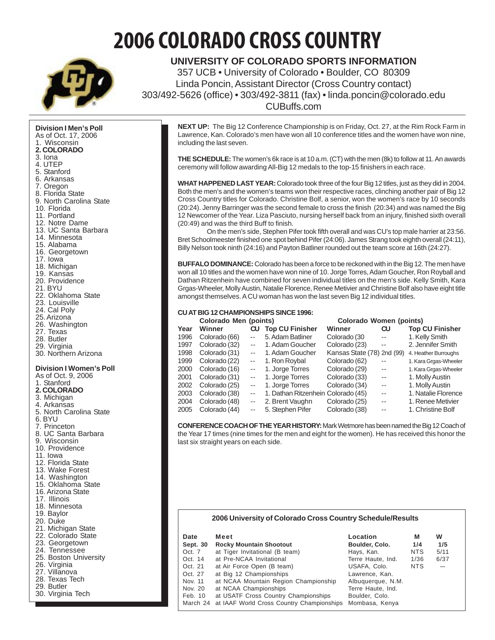# **2006 COLORADO CROSS COUNTRY**



**UNIVERSITY OF COLORADO SPORTS INFORMATION** 357 UCB • University of Colorado • Boulder, CO 80309 Linda Poncin, Assistant Director (Cross Country contact) 303/492-5626 (office) • 303/492-3811 (fax) • linda.poncin@colorado.edu CUBuffs.com

**Division I Men's Poll** As of Oct. 17, 2006 1. Wisconsin **2. COLORADO** 3. Iona 4. UTEP 5. Stanford 6. Arkansas 7. Oregon 8. Florida State 9. North Carolina State 10. Florida 11. Portland 12. Notre Dame 13. UC Santa Barbara 14. Minnesota 15. Alabama 16. Georgetown 17. Iowa 18. Michigan 19. Kansas 20. Providence 21. BYU 22. Oklahoma State 23. Louisville 24. Cal Poly 25. Arizona 26. Washington 27. Texas 28. Butler 29. Virginia 30. Northern Arizona **Division I Women's Poll** As of Oct. 9, 2006 1. Stanford **2. COLORADO** 3. Michigan 4. Arkansas 5. North Carolina State 6. BYU 7. Princeton 8. UC Santa Barbara 9. Wisconsin 10. Providence 11. Iowa 12. Florida State 13. Wake Forest 14. Washington 15. Oklahoma State 16. Arizona State 17. Illinois 18. Minnesota 19. Baylor 20. Duke 21. Michigan State 22. Colorado State 23. Georgetown 24. Tennessee 25. Boston University 26. Virginia 27. Villanova 28. Texas Tech 29. Butler 30. Virginia Tech

**NEXT UP:** The Big 12 Conference Championship is on Friday, Oct. 27, at the Rim Rock Farm in Lawrence, Kan. Colorado's men have won all 10 conference titles and the women have won nine, including the last seven.

**THE SCHEDULE:** The women's 6k race is at 10 a.m. (CT) with the men (8k) to follow at 11. An awards ceremony will follow awarding All-Big 12 medals to the top-15 finishers in each race.

**WHAT HAPPENED LAST YEAR:** Colorado took three of the four Big 12 titles, just as they did in 2004. Both the men's and the women's teams won their respective races, clinching another pair of Big 12 Cross Country titles for Colorado. Christine Bolf, a senior, won the women's race by 10 seconds (20:24). Jenny Barringer was the second female to cross the finish (20:34) and was named the Big 12 Newcomer of the Year. Liza Pasciuto, nursing herself back from an injury, finished sixth overall (20:49) and was the third Buff to finish.

On the men's side, Stephen Pifer took fifth overall and was CU's top male harrier at 23:56. Bret Schoolmeester finished one spot behind Pifer (24:06). James Strang took eighth overall (24:11), Billy Nelson took ninth (24:16) and Payton Batliner rounded out the team score at 16th (24:27).

**BUFFALO DOMINANCE:** Colorado has been a force to be reckoned with in the Big 12. The men have won all 10 titles and the women have won nine of 10. Jorge Torres, Adam Goucher, Ron Royball and Dathan Ritzenhein have combined for seven individual titles on the men's side. Kelly Smith, Kara Grgas-Wheeler, Molly Austin, Natalie Florence, Renee Metivier and Christine Bolf also have eight title amongst themselves. A CU woman has won the last seven Big 12 individual titles.

# **CU AT BIG 12 CHAMPIONSHIPS SINCE 1996:**

|               |               |                  | Colorado Women (points)                         |                                    |                            |  |  |  |  |
|---------------|---------------|------------------|-------------------------------------------------|------------------------------------|----------------------------|--|--|--|--|
| Winner        | <b>CU</b>     |                  | Winner                                          | CU                                 | <b>Top CU Finisher</b>     |  |  |  |  |
| Colorado (66) | $-$           | 5. Adam Batliner | Colorado (30                                    | $- -$                              | 1. Kelly Smith             |  |  |  |  |
| Colorado (32) | $- -$         | 1. Adam Goucher  | Colorado (23)                                   | $-$                                | 2. Jennifer Smith          |  |  |  |  |
| Colorado (31) | $- -$         | 1. Adam Goucher  |                                                 |                                    | 4. Heather Burroughs       |  |  |  |  |
| Colorado (22) | $\sim$ $-$    | 1. Ron Roybal    | Colorado (62)                                   | $-$                                | 1. Kara Grgas-Wheeler      |  |  |  |  |
| Colorado (16) | $-$           | 1. Jorge Torres  | Colorado (29)                                   | $-$                                | 1. Kara Grgas-Wheeler      |  |  |  |  |
| Colorado (31) | $- -$         | 1. Jorge Torres  | Colorado (33)                                   | $-$                                | 1. Molly Austin            |  |  |  |  |
| Colorado (25) | $-$           | 1. Jorge Torres  | Colorado (34)                                   | $\sim$ $-$                         | 1. Molly Austin            |  |  |  |  |
| Colorado (38) | $-$           |                  |                                                 | $- -$                              | 1. Natalie Florence        |  |  |  |  |
| Colorado (48) | $- -$         | 2. Brent Vaughn  | Colorado (25)                                   | $-$                                | 1. Renee Metivier          |  |  |  |  |
| Colorado (44) | $\sim$ $\sim$ | 5. Stephen Pifer | Colorado (38)                                   | $\sim$ $\sim$                      | 1. Christine Bolf          |  |  |  |  |
|               |               |                  | Colorado Men (points)<br><b>Top CU Finisher</b> | 1. Dathan Ritzenhein Colorado (45) | Kansas State (78) 2nd (99) |  |  |  |  |

**CONFERENCE COACH OF THE YEAR HISTORY:** Mark Wetmore has been named the Big 12 Coach of the Year 17 times (nine times for the men and eight for the women). He has received this honor the last six straight years on each side.

# **2006 University of Colorado Cross Country Schedule/Results**

| Date     | Meet                                               | Location          | м          | W              |
|----------|----------------------------------------------------|-------------------|------------|----------------|
| Sept. 30 | <b>Rocky Mountain Shootout</b>                     | Boulder, Colo.    | 1/4        | 1/5            |
| Oct. 7   | at Tiger Invitational (B team)                     | Hays, Kan.        | <b>NTS</b> | 5/11           |
| Oct. 14  | at Pre-NCAA Invitational                           | Terre Haute, Ind. | 1/36       | 6/37           |
| Oct. 21  | at Air Force Open (B team)                         | USAFA, Colo.      | <b>NTS</b> | $\overline{a}$ |
| Oct. 27  | at Big 12 Championships                            | Lawrence, Kan.    |            |                |
| Nov. 11  | at NCAA Mountain Region Championship               | Albuguerque, N.M. |            |                |
| Nov. 20  | at NCAA Championships                              | Terre Haute, Ind. |            |                |
| Feb. 10  | at USATF Cross Country Championships               | Boulder, Colo.    |            |                |
|          | March 24 at IAAF World Cross Country Championships | Mombasa, Kenya    |            |                |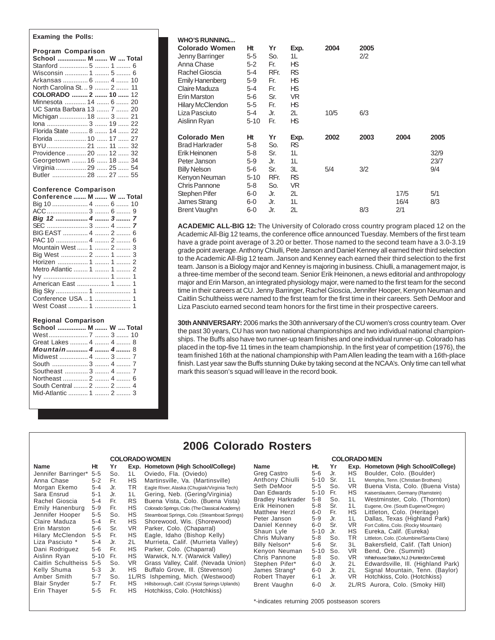# **Examing the Polls:**

| <b>Program Comparison</b>    |
|------------------------------|
| School  M  W  Total          |
| Stanford  5  1  6            |
| Wisconsin  1  5  6           |
| Arkansas  6  4  10           |
| North Carolina St.  9  2  11 |
| <b>COLORADO</b> 2  10  12    |
| Minnesota  14  6  20         |
| UC Santa Barbara 13  7  20   |
| Michigan  18  3  21          |
| lona  3  19  22              |
| Florida State  8  14  22     |
| Florida  10  17  27          |
| BYU  21  11  32              |
| Providence  20  12  32       |
| Georgetown  16  18  34       |
| Virginia  29  25  54         |
| Butler  28  27  55           |

#### **Conference Comparison**

| Conference  M  W  Total |  |  |
|-------------------------|--|--|
| Big 10  4  6  10        |  |  |
|                         |  |  |
|                         |  |  |
|                         |  |  |
| BIG EAST  4  2  6       |  |  |
|                         |  |  |
| Mountain West  1  2  3  |  |  |
| Big West  2  1  3       |  |  |
|                         |  |  |
| Metro Atlantic  1  1  2 |  |  |
|                         |  |  |
| American East  1  1     |  |  |
|                         |  |  |
| Conference USA  1  1    |  |  |
| West Coast  1  1        |  |  |
|                         |  |  |

# **Regional Comparison**

| School  M  W  Total     |  |
|-------------------------|--|
|                         |  |
| Great Lakes  4  4  8    |  |
| <b>Mountain 4  4 </b> 8 |  |
|                         |  |
|                         |  |
| Southeast  3  4  7      |  |
| Northeast  2  4  6      |  |
| South Central  2  2  4  |  |
| Mid-Atlantic  1  2  3   |  |

**COLORADO WOMEN**

#### **WHO'S RUNNING....**

| Colorado Women<br>Jenny Barringer<br>Anna Chase<br>Rachel Gioscia<br>Emily Hanenberg<br>Claire Maduza<br>Erin Marston | Ηt<br>$5 - 5$<br>$5 - 2$<br>$5 - 4$<br>$5-9$<br>$5 - 4$ | Yr<br>So.<br>Fr.<br>RFr.<br>Fr.<br>Fr. | Exp.<br>1L<br>ΗS<br>RS<br>ΗS<br>ΗS<br>VR. | 2004 | 2005<br>2/2 |                     |                      |
|-----------------------------------------------------------------------------------------------------------------------|---------------------------------------------------------|----------------------------------------|-------------------------------------------|------|-------------|---------------------|----------------------|
| <b>Hilary McClendon</b><br>Liza Pasciuto<br>Aislinn Ryan                                                              | $5-6$<br>$5 - 5$<br>$5 - 4$<br>5-10                     | Sr.<br>Fr.<br>Jr.<br>Fr.               | ΗS<br>2L<br>ΗS                            | 10/5 | 6/3         |                     |                      |
| Colorado Men<br>Brad Harkrader<br>Erik Heinonen<br>Peter Janson                                                       | Ηt<br>$5 - 8$<br>$5 - 8$<br>$5-9$                       | Yr<br>So.<br>Sr.<br>Jr.                | Exp.<br>RS<br>1L<br>1L                    | 2002 | 2003        | 2004                | 2005<br>32/9<br>23/7 |
| <b>Billy Nelson</b><br>Kenyon Neuman<br>Chris Pannone                                                                 | $5-6$<br>$5 - 10$<br>$5 - 8$                            | Sr.<br>RFr.<br>So.                     | 3L<br>RS<br>VR.                           | 5/4  | 3/2         |                     | 9/4                  |
| Stephen Pifer<br>James Strang<br>Brent Vaughn                                                                         | $6-0$<br>6-0<br>6-0                                     | Jr.<br>Jr.<br>Jr.                      | 2L<br>1L<br>2L                            |      | 8/3         | 17/5<br>16/4<br>2/1 | 5/1<br>8/3           |
|                                                                                                                       |                                                         |                                        |                                           |      |             |                     |                      |

**ACADEMIC ALL-BIG 12:** The University of Colorado cross country program placed 12 on the Academic All-Big 12 teams, the conference office announced Tuesday. Members of the first team have a grade point average of 3.20 or better. Those named to the second team have a 3.0-3.19 grade point average. Anthony Chiulli, Pete Janson and Daniel Kenney all earned their third selection to the Academic All-Big 12 team. Janson and Kenney each earned their third selection to the first team. Janson is a Biology major and Kenney is majoring in business. Chiulli, a management major, is a three-time member of the second team. Senior Erik Heinonen, a news editorial and anthropology major and Erin Marson, an integrated physiology major, were named to the first team for the second time in their careers at CU. Jenny Barringer, Rachel Gioscia, Jennifer Hooper, Kenyon Neuman and Caitlin Schultheiss were named to the first team for the first time in their careers. Seth DeMoor and Liza Pasciuto earned second team honors for the first time in their prospective careers.

**30th ANNIVERSARY:** 2006 marks the 30th anniversary of the CU women's cross country team. Over the past 30 years, CU has won two national championships and two individual national championships. The Buffs also have two runner-up team finishes and one individual runner-up. Colorado has placed in the top-five 11 times in the team championship. In the first year of competition (1976), the team finished 16th at the national championship with Pam Allen leading the team with a 16th-place finish. Last year saw the Buffs stunning Duke by taking second at the NCAA's. Only time can tell what mark this season's squad will leave in the record book.

**COLORADO MEN**

# **2006 Colorado Rosters**

|                     |          |     |                | <b>COLORADO WOMEN</b>                           | <b>COLORADO MEN</b>      |          |     |           |                                              |  |  |
|---------------------|----------|-----|----------------|-------------------------------------------------|--------------------------|----------|-----|-----------|----------------------------------------------|--|--|
| Name                | Нt       | Yr  |                | Exp. Hometown (High School/College)             | <b>Name</b>              | Ht.      | Yr  |           | Exp. Hometown (High School/College)          |  |  |
| Jennifer Barringer* | $5 - 5$  | So. | 1 <sup>L</sup> | Oviedo, Fla. (Oviedo)                           | Greg Castro              | 5-6      | Jr. | НS        | Boulder, Colo. (Boulder)                     |  |  |
| Anna Chase          | $5 - 2$  | Fr. | HS.            | Martinsville, Va. (Martinsville)                | Anthony Chiulli          | 5-10     | Sr. | 1 L       | Memphis, Tenn. (Christian Brothers)          |  |  |
| Morgan Ekemo        | $5 - 4$  | Jr. | TR.            | Eagle River, Alaska (Chugiak/Virginia Tech)     | Seth DeMoor              | 5-5      | So. | VR        | Buena Vista, Colo. (Buena Vista)             |  |  |
| Sara Ensrud         | $5-1$    | Jr. | 1 L            | Gering, Neb. (Gering/Virginia)                  | Dan Edwards              | 5-10 Fr. |     | HS        | Kaiserslautern, Germany (Ramstein)           |  |  |
| Rachel Gioscia      | $5 - 4$  | Fr. | RS.            | Buena Vista, Colo. (Buena Vista)                | <b>Bradley Harkrader</b> | 5-8      | So. | 1 L       | Westminster, Colo. (Thornton)                |  |  |
| Emily Hanenburg     | $5-9$    | Fr. | HS.            | Colorado Springs, Colo. (The Classical Academy) | Erik Heinonen            | 5-8      | Sr. | 1L        | Eugene, Ore. (South Eugene/Oregon)           |  |  |
| Jennifer Hooper     | $5 - 5$  | So. | HS.            | Steamboat Springs, Colo. (Steamboat Springs)    | <b>Matthew Herzl</b>     | 6-0      | Fr. | НS        | Littleton, Colo. (Heritage)                  |  |  |
| Claire Maduza       | 5-4      | Fr. | HS.            | Shorewood, Wis. (Shorewood)                     | Peter Janson             | 5-9      | Jr. | 1L        | Dallas, Texas (Highland Park)                |  |  |
| Erin Marston        | 5-6      | Sr. | VR.            | Parker, Colo. (Chaparral)                       | Daniel Kenney            | 6-0      | Sr. | VR.       | Fort Collins, Colo. (Rocky Mountain)         |  |  |
| Hilary McClendon    | $5 - 5$  | Fr. | HS.            | Eagle, Idaho (Bishop Kelly)                     | Shaun Lyle               | $5 - 10$ | Jr. | HS        | Eureka, Calif. (Eureka)                      |  |  |
| Liza Pasciuto *     | $5 - 4$  | Jr. | 2L             | Murrieta, Calif. (Murrieta Valley)              | Chris Mulvany            | 5-8      | So. | ΤR        | Littleton, Colo. (Columbine/Santa Clara)     |  |  |
|                     |          |     |                |                                                 | Billy Nelson*            | $5-6$    | Sr. | 3L        | Bakersfield, Calif. (Taft Union)             |  |  |
| Dani Rodriguez      | 5-6      | Fr. | HS.            | Parker, Colo. (Chaparral)                       | Kenyon Neuman            | $5 - 10$ | So. | <b>VR</b> | Bend, Ore. (Summit)                          |  |  |
| Aislinn Ryan        | $5 - 10$ | Fr. | HS.            | Warwick, N.Y. (Warwick Valley)                  | Chris Pannone            | 5-8      | So. | <b>VR</b> | Whitehouse Station, N.J. (Hunterdon Central) |  |  |
| Caitlin Schultheiss | $5 - 5$  | So. | VR.            | Grass Valley, Calif. (Nevada Union)             | Stephen Pifer*           | 6-0      | Jr. | 2L        | Edwardsville, III. (Highland Park)           |  |  |
| Kelly Shuma         | 5-3      | Jr. | HS.            | Buffalo Grove, III. (Stevenson)                 | James Strang*            | 6-0      | Jr. | 2L        | Signal Mountain, Tenn. (Baylor)              |  |  |
| Amber Smith         | $5 - 7$  | So. |                | 1L/RS Ishpeming, Mich. (Westwood)               | Robert Thayer            | $6 - 1$  | Jr. | VR.       | Hotchkiss, Colo. (Hotchkiss)                 |  |  |
| <b>Blair Snyder</b> | $5 - 7$  | Fr. | HS.            | Hillsborough, Calif. (Crystal Springs Uplands)  | Brent Vaughn             | $6-0$    | Jr. |           | 2L/RS Aurora, Colo. (Smoky Hill)             |  |  |
| Erin Thayer         | $5 - 5$  | Fr. | HS.            | Hotchkiss, Colo. (Hotchkiss)                    |                          |          |     |           |                                              |  |  |

\*-indicates returning 2005 postseason scorers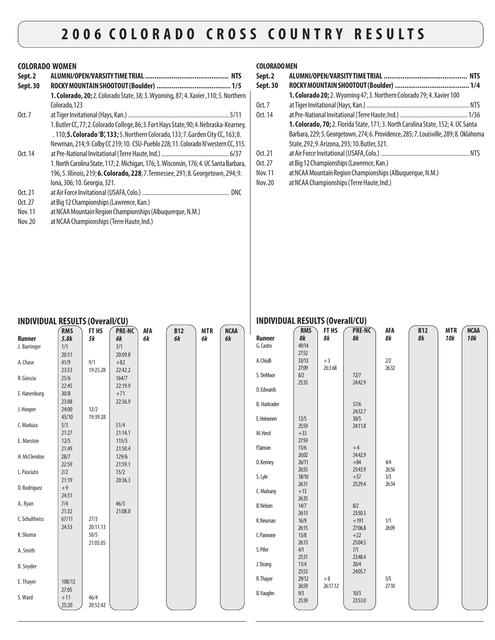# **COLORADO WOMEN**

| Sept.2<br>Sept.30 |                                                                                            |
|-------------------|--------------------------------------------------------------------------------------------|
|                   | <b>1. Colorado, 20;</b> 2. Colorado State, 38; 3. Wyoming, 87; 4. Xavier, 110; 5. Northern |
|                   | Colorado, 123                                                                              |
| 0ct.7             |                                                                                            |
|                   | 1. Butler CC, 77; 2. Colorado College, 86; 3. Fort Hays State, 90; 4. Nebraska-Kearney,    |
|                   | . 110; 5. Colorado 'B', 133; 5. Northern Colorado, 133; 7. Garden City CC, 163; 8.         |
|                   | Newman, 214; 9. Colby CC 219; 10. CSU-Pueblo 228; 11. Colorado N'western CC, 315.          |
| 0ct. 14           |                                                                                            |
|                   | 1. North Carolina State, 117; 2. Michigan, 176; 3. Wisconsin, 176; 4. UC Santa Barbara,    |
|                   | 196, 5. Illinois, 219; 6. Colorado, 228; 7. Tennessee, 291; 8. Georgetown, 294; 9.         |
|                   | lona, 306; 10. Georgia, 321.                                                               |
| 0ct.21            |                                                                                            |
| Oct. $27$         | at Big 12 Championships (Lawrence, Kan.)                                                   |
| Nov. 11           | at NCAA Mountain Region Championships (Albuquerque, N.M.)                                  |
| Nov. 20           | at NCAA Championships (Terre Haute, Ind.)                                                  |

# **COLORADO MEN**

| Sept.2   |                                                                                       |
|----------|---------------------------------------------------------------------------------------|
| Sept. 30 |                                                                                       |
|          | 1. Colorado 20; 2. Wyoming 47; 3. Northern Colorado 79; 4. Xavier 100                 |
| 0ct.7    |                                                                                       |
| 0ct. 14  |                                                                                       |
|          | 1. Colorado, 70; 2. Florida State, 171; 3. North Carolina State, 152; 4. UC Santa     |
|          | Barbara, 229; 5. Georgetown, 274; 6. Providence, 285; 7. Louisville, 289; 8. Oklahoma |
|          | State, 292; 9. Arizona, 293; 10. Butler, 321.                                         |
| 0ct. 21  |                                                                                       |
| 0ct.27   | at Big 12 Championships (Lawrence, Kan.)                                              |
| Nov. 11  | at NCAA Mountain Region Championships (Albuquerque, N.M.)                             |
| Nov. 20  | at NCAA Championships (Terre Haute, Ind.)                                             |

| <b>INDIVIDUAL RESULTS (Overall/CU)</b> |                    |                    |                     |                  |                         |                  |                   | <b>INDIVIDUAL RESULTS (Overall/CU)</b> |                  |                    |                            |                |                  |                   |                           |
|----------------------------------------|--------------------|--------------------|---------------------|------------------|-------------------------|------------------|-------------------|----------------------------------------|------------------|--------------------|----------------------------|----------------|------------------|-------------------|---------------------------|
| <b>Runner</b>                          | <b>RMS</b><br>5.8k | FT HS<br><b>5k</b> | PRE-NC<br><b>6k</b> | <b>AFA</b><br>6k | <b>B12</b><br><b>6k</b> | <b>MTR</b><br>6k | <b>NCAA</b><br>6k | <b>Runner</b>                          | <b>RMS</b><br>8k | FT HS<br><b>8k</b> | <b>PRE-NC</b><br><b>8k</b> | AFA<br>8k      | <b>B12</b><br>8k | <b>MTR</b><br>10k | <b>NCAA</b><br><b>10k</b> |
| J. Barringer                           | 1/1<br>20:51       |                    | 3/1<br>20:09.8      |                  |                         |                  |                   | G. Castro                              | 49/14<br>27:52   |                    |                            |                |                  |                   |                           |
| A. Chase                               | 41/9<br>23:53      | 9/1<br>19:25.28    | $+82$<br>22:42.2    |                  |                         |                  |                   | A. Chiulli                             | 33/13<br>27:09   | $+3$<br>26:3.68    |                            | $2/2$<br>26:32 |                  |                   |                           |
| R. Gioscia                             | 25/6<br>22:45      |                    | 164/7<br>22:19.9    |                  |                         |                  |                   | S. DeMoor                              | 8/2<br>25:35     |                    | 72/7<br>24:42.9            |                |                  |                   |                           |
| E. Hanenburg                           | 30/8               |                    | $+71$               |                  |                         |                  |                   | D. Edwards                             |                  |                    |                            |                |                  |                   |                           |
| J. Hooper                              | 23:08<br>24:00     | 12/2               | 22:36.9             |                  |                         |                  |                   | <b>B.</b> Harkrader                    |                  |                    | 57/6<br>24:32.7            |                |                  |                   |                           |
| C. Maduza                              | 45/10<br>5/3       | 19:39.28           | 51/4                |                  |                         |                  |                   | E.Heinonen                             | 12/5<br>25:59    |                    | 30/5<br>24:11.8            |                |                  |                   |                           |
| E. Marston                             | 21:27<br>12/5      |                    | 21:14.1<br>115/5    |                  |                         |                  |                   | M. Herzl                               | $+33$<br>27:59   |                    |                            |                |                  |                   |                           |
| H. McClendon                           | 21:49<br>28/7      |                    | 21:50.4<br>129/6    |                  |                         |                  |                   | P.Janson                               | 13/6<br>26:02    |                    | $+4$<br>24:42.9            |                |                  |                   |                           |
| L. Pasciuto                            | 22:59<br>2/2       |                    | 21:59.1<br>15/2     |                  |                         |                  |                   | D. Kenney                              | 26/11<br>26:55   |                    | $+84$<br>25:43.9           | 4/4<br>26:56   |                  |                   |                           |
| D. Rodriguez                           | 21:19<br>$+9$      |                    | 20:36.3             |                  |                         |                  |                   | S. Lyle                                | 18/10<br>26:31   |                    | $+57$<br>25:29.4           | 3/3<br>26:34   |                  |                   |                           |
|                                        | 24:51              |                    |                     |                  |                         |                  |                   | C. Mulvany                             | $+13$<br>26:35   |                    |                            |                |                  |                   |                           |
| A., Ryan                               | 7/4<br>21:32       |                    | 46/3<br>21:08.0     |                  |                         |                  |                   | <b>B. Nelson</b>                       | 14/7<br>26:13    |                    | 8/2<br>23:50.3             |                |                  |                   |                           |
| C. Schultheiss                         | 67/11<br>24:53     | 27/3<br>20:11.13   |                     |                  |                         |                  |                   | K. Neuman                              | 16/9<br>26:15    |                    | $+191$<br>27:06.8          | 1/1<br>26:09   |                  |                   |                           |
| K. Shuma                               |                    | 50/5<br>21:05.05   |                     |                  |                         |                  |                   | C.Pannone                              | 15/8<br>26:13    |                    | $+22$<br>25:04.5           |                |                  |                   |                           |
| A. Smith                               |                    |                    |                     |                  |                         |                  |                   | S. Pifer                               | 4/1<br>25:31     |                    | 7/1<br>23:48.4             |                |                  |                   |                           |
| <b>B.</b> Snyder                       |                    |                    |                     |                  |                         |                  |                   | J. Strang                              | 11/4<br>25:53    |                    | 20/4<br>24:05.7            |                |                  |                   |                           |
| E. Thayer                              | 108/12<br>27:05    |                    |                     |                  |                         |                  |                   | R. Thayer                              | 29/12<br>26:59   | $+8$<br>26:17.12   |                            | 5/5<br>27:10   |                  |                   |                           |
| S. Ward                                | $+11$              | 46/4               |                     |                  |                         |                  |                   | <b>B.</b> Vaughn                       | 9/3<br>25:39     |                    | 10/3<br>23:53.0            |                |                  |                   |                           |
|                                        | 25:20              | 20:52.42           |                     |                  |                         |                  |                   |                                        |                  |                    |                            |                |                  |                   |                           |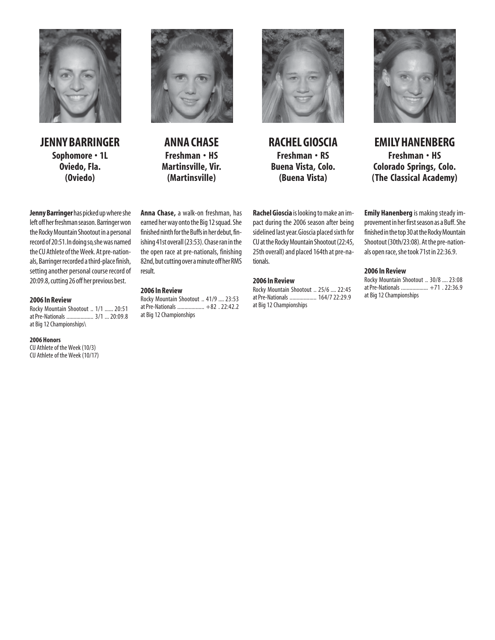

**JENNY BARRINGER Sophomore • 1L Oviedo, Fla. (Oviedo)**



**ANNA CHASE Freshman • HS Martinsville, Vir. (Martinsville)**



**RACHEL GIOSCIA Freshman • RS Buena Vista, Colo. (Buena Vista)**



**EMILY HANENBERG Freshman • HS Colorado Springs, Colo. (The Classical Academy)**

**Emily Hanenberg** is making steady improvement in her first season as a Buff. She finished in the top 30 at the Rocky Mountain Shootout (30th/23:08). At the pre-nationals open race, she took 71st in 22:36.9.

# **2006 In Review**

Rocky Mountain Shootout .. 30/8 .... 23:08 at Pre-Nationals ................... +71 . 22:36.9 at Big 12 Championships

**Jenny Barringer** has picked up where she left off her freshman season. Barringer won the Rocky Mountain Shootout in a personal record of 20:51. In doing so, she was named the CU Athlete of the Week. At pre-nationals, Barringer recorded a third-place finish, setting another personal course record of 20:09.8, cutting 26 off her previous best.

#### **2006 In Review**

Rocky Mountain Shootout .. 1/1 ...... 20:51 at Pre-Nationals ................... 3/1 ...20:09.8 at Big 12 Championships\

#### **2006 Honors**

CU Athlete of the Week (10/3) CU Athlete of the Week (10/17) **Anna Chase,** a walk-on freshman, has earned her way onto the Big 12 squad. She finished ninth for the Buffs in her debut, finishing 41st overall (23:53). Chase ran in the the open race at pre-nationals, finishing 82nd, but cutting over a minute off her RMS result.

#### **2006 In Review**

Rocky Mountain Shootout .. 41/9 .... 23:53 at Pre-Nationals ................... +82 . 22:42.2 at Big 12 Championships

**Rachel Gioscia** is looking to make an impact during the 2006 season after being sidelined last year. Gioscia placed sixth for CU at the Rocky Mountain Shootout (22:45, 25th overall) and placed 164th at pre-nationals.

# **2006 In Review**

Rocky Mountain Shootout .. 25/6 .... 22:45 at Pre-Nationals ................... 164/722:29.9 at Big 12 Championships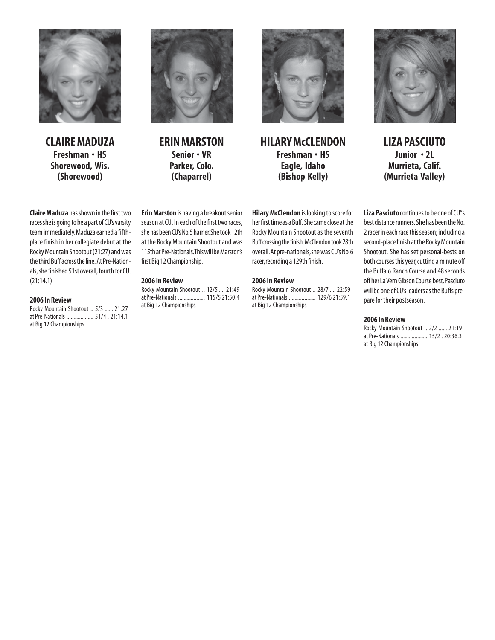

**CLAIRE MADUZA Freshman • HS Shorewood, Wis. (Shorewood)**



**ERIN MARSTON Senior • VR Parker, Colo. (Chaparrel)**



**HILARY McCLENDON Freshman • HS Eagle, Idaho (Bishop Kelly)**



**LIZA PASCIUTO Junior • 2L Murrieta, Calif. (Murrieta Valley)**

**Claire Maduza** has shown in the first two races she is going to be a part of CU's varsity team immediately. Maduza earned a fifthplace finish in her collegiate debut at the Rocky Mountain Shootout (21:27) and was the third Buff across the line. At Pre-Nationals, she finished 51st overall, fourth for CU. (21:14.1)

#### **2006 In Review**

Rocky Mountain Shootout .. 5/3 ...... 21:27 at Pre-Nationals ................... 51/4 . 21:14.1 at Big 12 Championships

**Erin Marston** is having a breakout senior season at CU. In each of the first two races, she has been CU's No. 5 harrier. She took 12th at the Rocky Mountain Shootout and was 115th at Pre-Nationals. This will be Marston's first Big 12 Championship.

#### **2006 In Review**

Rocky Mountain Shootout .. 12/5 .... 21:49 at Pre-Nationals ................... 115/521:50.4 at Big 12 Championships

**Hilary McClendon** is looking to score for her first time as a Buff. She came close at the Rocky Mountain Shootout as the seventh Buff crossing the finish. McClendon took 28th overall. At pre-nationals, she was CU's No. 6 racer, recording a 129th finish.

#### **2006 In Review**

Rocky Mountain Shootout .. 28/7 .... 22:59 at Pre-Nationals ................... 129/621:59.1 at Big 12 Championships

**Liza Pasciuto** continues to be one of CU"s best distance runners. She has been the No. 2 racer in each race this season; including a second-place finish at the Rocky Mountain Shootout. She has set personal-bests on both courses this year, cutting a minute off the Buffalo Ranch Course and 48 seconds off her La Vern Gibson Course best. Pasciuto will be one of CU's leaders as the Buffs prepare for their postseason.

#### **2006 In Review**

Rocky Mountain Shootout .. 2/2 ...... 21:19 at Pre-Nationals ................... 15/2 . 20:36.3 at Big 12 Championships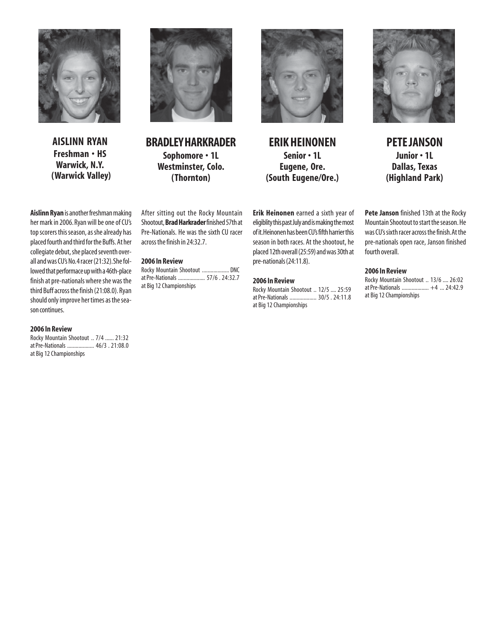

**AISLINN RYAN Freshman • HS Warwick, N.Y. (Warwick Valley)**

**Aislinn Ryan** is another freshman making her mark in 2006. Ryan will be one of CU's top scorers this season, as she already has placed fourth and third for the Buffs. At her collegiate debut, she placed seventh overall and was CU's No. 4 racer (21:32). She followed that performace up with a 46th-place finish at pre-nationals where she was the third Buff across the finish (21:08.0). Ryan should only improve her times as the season continues.

# **2006 In Review**

Rocky Mountain Shootout .. 7/4 ...... 21:32 at Pre-Nationals ................... 46/3 . 21:08.0 at Big 12 Championships



**BRADLEY HARKRADER Sophomore • 1L Westminster, Colo. (Thornton)**

After sitting out the Rocky Mountain Shootout, **Brad Harkrader** finished 57th at Pre-Nationals. He was the sixth CU racer

Rocky Mountain Shootout ................... DNC at Pre-Nationals ................... 57/6 . 24:32.7

across the finish in 24:32.7.

**2006 In Review**

at Big 12 Championships

**ERIK HEINONEN Senior • 1L Eugene, Ore. (South Eugene/Ore.)**

**Erik Heinonen** earned a sixth year of eligiblity this past July and is making the most of it. Heinonen has been CU's fifth harrier this season in both races. At the shootout, he placed 12th overall (25:59) and was 30th at pre-nationals (24:11.8).

#### **2006 In Review**

Rocky Mountain Shootout .. 12/5 .... 25:59 at Pre-Nationals ................... 30/5 . 24:11.8 at Big 12 Championships



**PETE JANSON Junior • 1L Dallas, Texas (Highland Park)**

**Pete Janson** finished 13th at the Rocky Mountain Shootout to start the season. He was CU's sixth racer across the finish. At the pre-nationals open race, Janson finished fourth overall.

# **2006 In Review**

Rocky Mountain Shootout .. 13/6 .... 26:02 at Pre-Nationals ................... +4 ... 24:42.9 at Big 12 Championships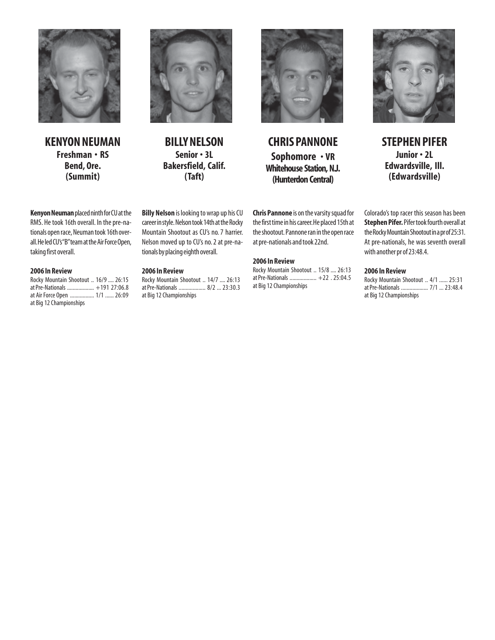

**KENYON NEUMAN Freshman • RS Bend, Ore. (Summit)**



**BILLY NELSON Senior • 3L Bakersfield, Calif. (Taft)**



**CHRIS PANNONE Sophomore • VR Whitehouse Station, N.J. (Hunterdon Central)**

**Chris Pannone** is on the varsity squad for the first time in his career. He placed 15th at the shootout. Pannone ran in the open race at pre-nationals and took 22nd.

# **2006 In Review**

Rocky Mountain Shootout .. 15/8 .... 26:13 at Pre-Nationals ................... +22 . 25:04.5 at Big 12 Championships



**STEPHEN PIFER Junior • 2L Edwardsville, Ill. (Edwardsville)**

Colorado's top racer this season has been **Stephen Pifer.** Pifer took fourth overall at the Rocky Mountain Shootout in a pr of 25:31. At pre-nationals, he was seventh overall with another pr of 23:48.4.

# **2006 In Review**

Rocky Mountain Shootout .. 4/1 ...... 25:31 at Pre-Nationals ................... 7/1 ... 23:48.4 at Big 12 Championships

**Kenyon Neuman** placed ninth for CU at the RMS. He took 16th overall. In the pre-nationals open race, Neuman took 16th overall. He led CU's "B" team at the Air Force Open, taking first overall.

# **2006 In Review**

Rocky Mountain Shootout .. 16/9 .... 26:15 at Pre-Nationals ................... +191 27:06.8 at Air Force Open ................. 1/1 ...... 26:09 at Big 12 Championships

career in style. Nelson took 14th at the Rocky Mountain Shootout as CU's no. 7 harrier. Nelson moved up to CU's no. 2 at pre-nationals by placing eighth overall.

**Billy Nelson** is looking to wrap up his CU

# **2006 In Review**

Rocky Mountain Shootout .. 14/7 .... 26:13 at Pre-Nationals ................... 8/2 ... 23:30.3 at Big 12 Championships